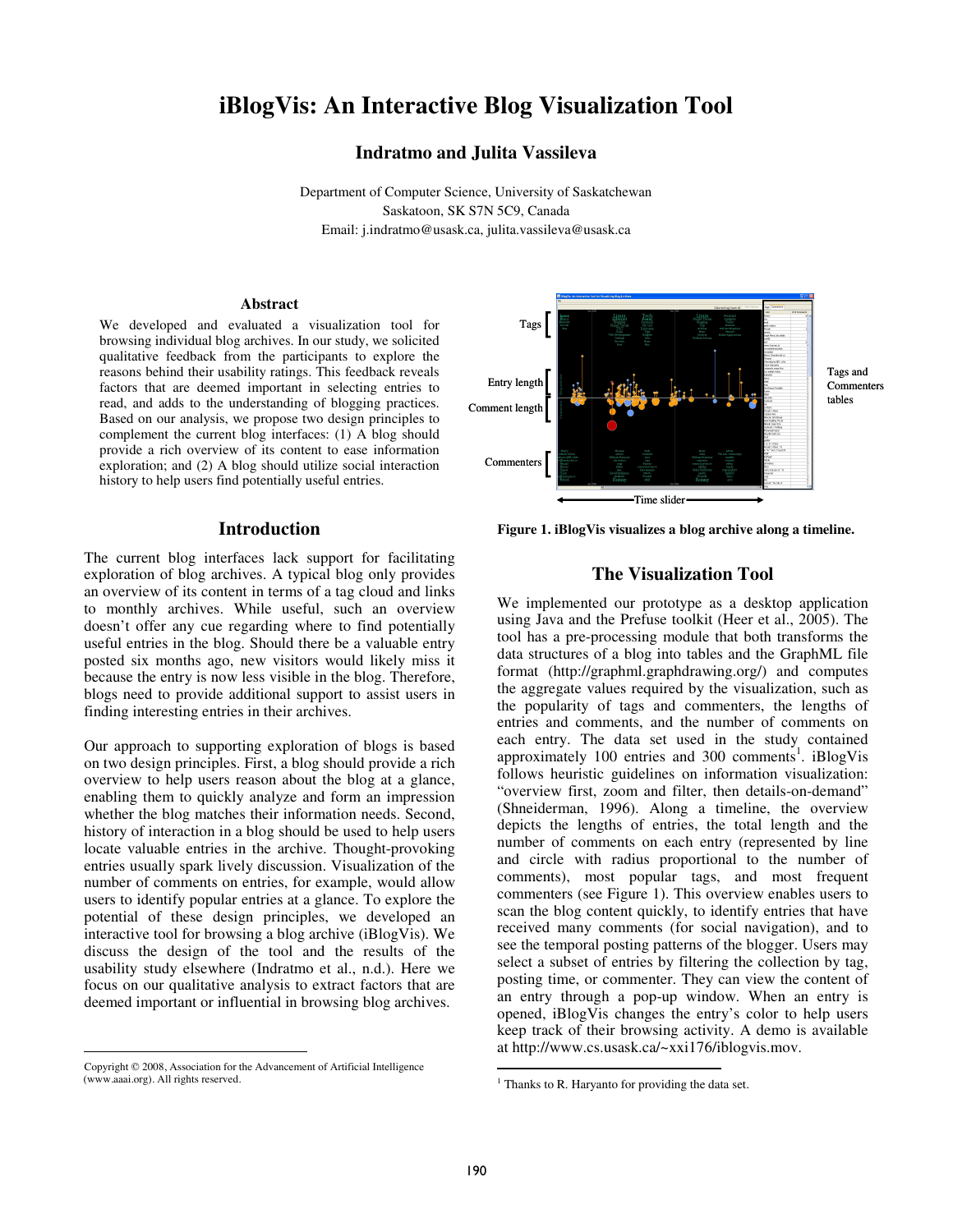# **iBlogVis: An Interactive Blog Visualization Tool**

## **Indratmo and Julita Vassileva**

Department of Computer Science, University of Saskatchewan Saskatoon, SK S7N 5C9, Canada Email: j.indratmo@usask.ca, julita.vassileva@usask.ca

#### **Abstract**

We developed and evaluated a visualization tool for browsing individual blog archives. In our study, we solicited qualitative feedback from the participants to explore the reasons behind their usability ratings. This feedback reveals factors that are deemed important in selecting entries to read, and adds to the understanding of blogging practices. Based on our analysis, we propose two design principles to complement the current blog interfaces: (1) A blog should provide a rich overview of its content to ease information exploration; and (2) A blog should utilize social interaction history to help users find potentially useful entries.

### **Introduction**

The current blog interfaces lack support for facilitating exploration of blog archives. A typical blog only provides an overview of its content in terms of a tag cloud and links to monthly archives. While useful, such an overview doesn't offer any cue regarding where to find potentially useful entries in the blog. Should there be a valuable entry posted six months ago, new visitors would likely miss it because the entry is now less visible in the blog. Therefore, blogs need to provide additional support to assist users in finding interesting entries in their archives.

Our approach to supporting exploration of blogs is based on two design principles. First, a blog should provide a rich overview to help users reason about the blog at a glance, enabling them to quickly analyze and form an impression whether the blog matches their information needs. Second, history of interaction in a blog should be used to help users locate valuable entries in the archive. Thought-provoking entries usually spark lively discussion. Visualization of the number of comments on entries, for example, would allow users to identify popular entries at a glance. To explore the potential of these design principles, we developed an interactive tool for browsing a blog archive (iBlogVis). We discuss the design of the tool and the results of the usability study elsewhere (Indratmo et al., n.d.). Here we focus on our qualitative analysis to extract factors that are deemed important or influential in browsing blog archives.

[ [ [ [ Tags Entry length Comment length Commenters Time slider Tags and **Commenters** tables

**Figure 1. iBlogVis visualizes a blog archive along a timeline.** 

## **The Visualization Tool**

We implemented our prototype as a desktop application using Java and the Prefuse toolkit (Heer et al., 2005). The tool has a pre-processing module that both transforms the data structures of a blog into tables and the GraphML file format (http://graphml.graphdrawing.org/) and computes the aggregate values required by the visualization, such as the popularity of tags and commenters, the lengths of entries and comments, and the number of comments on each entry. The data set used in the study contained approximately 100 entries and 300 comments<sup>1</sup>. iBlogVis follows heuristic guidelines on information visualization: "overview first, zoom and filter, then details-on-demand" (Shneiderman, 1996). Along a timeline, the overview depicts the lengths of entries, the total length and the number of comments on each entry (represented by line and circle with radius proportional to the number of comments), most popular tags, and most frequent commenters (see Figure 1). This overview enables users to scan the blog content quickly, to identify entries that have received many comments (for social navigation), and to see the temporal posting patterns of the blogger. Users may select a subset of entries by filtering the collection by tag, posting time, or commenter. They can view the content of an entry through a pop-up window. When an entry is opened, iBlogVis changes the entry's color to help users keep track of their browsing activity. A demo is available at http://www.cs.usask.ca/~xxi176/iblogvis.mov.

 $\overline{a}$ 

 $\frac{1}{2}$  1 Copyright © 2008, Association for the Advancement of Artificial Intelligence (www.aaai.org). All rights reserved.

<sup>&</sup>lt;sup>1</sup> Thanks to R. Haryanto for providing the data set.